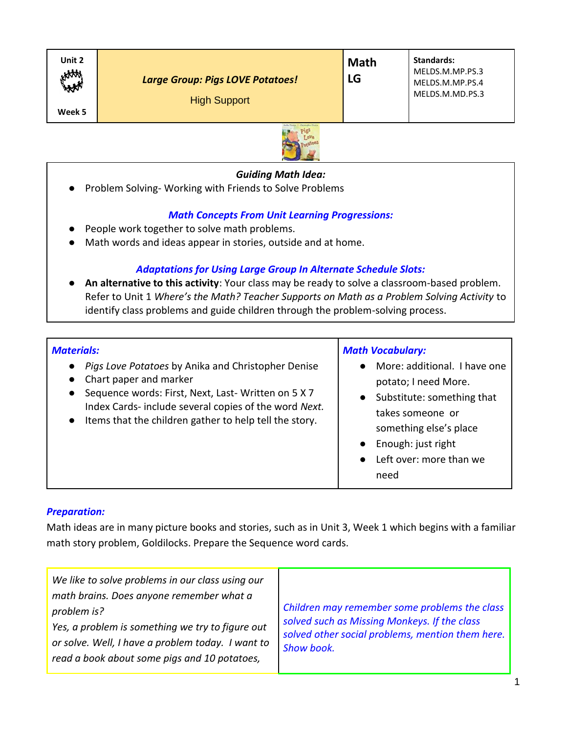| Unit 2<br>HAM<br><b>Large Group: Pigs LOVE Potatoes!</b><br><b>High Support</b><br>Week 5<br>the first of the beams and of the company of the said. | <b>Math</b><br>LG | <b>Standards:</b><br>MELDS.M.MP.PS.3<br>MELDS.M.MP.PS.4<br>MELDS.M.MD.PS.3 |
|-----------------------------------------------------------------------------------------------------------------------------------------------------|-------------------|----------------------------------------------------------------------------|
|-----------------------------------------------------------------------------------------------------------------------------------------------------|-------------------|----------------------------------------------------------------------------|



## *Guiding Math Idea:*

● Problem Solving- Working with Friends to Solve Problems

# *Math Concepts From Unit Learning Progressions:*

- People work together to solve math problems.
- Math words and ideas appear in stories, outside and at home.

# *Adaptations for Using Large Group In Alternate Schedule Slots:*

● **An alternative to this activity**: Your class may be ready to solve a classroom-based problem. Refer to Unit 1 *Where's the Math? Teacher Supports on Math as a Problem Solving Activity* to identify class problems and guide children through the problem-solving process.

| <b>Materials:</b>                                                                                                                                                                                                                                                                           | <b>Math Vocabulary:</b>                                                                                                                                                                                               |
|---------------------------------------------------------------------------------------------------------------------------------------------------------------------------------------------------------------------------------------------------------------------------------------------|-----------------------------------------------------------------------------------------------------------------------------------------------------------------------------------------------------------------------|
| Pigs Love Potatoes by Anika and Christopher Denise<br>$\bullet$<br>Chart paper and marker<br>$\bullet$<br>Sequence words: First, Next, Last-Written on 5 X 7<br>Index Cards-include several copies of the word Next.<br>Items that the children gather to help tell the story.<br>$\bullet$ | More: additional. I have one<br>$\bullet$<br>potato; I need More.<br>• Substitute: something that<br>takes someone or<br>something else's place<br>Enough: just right<br>$\bullet$<br>Left over: more than we<br>need |

#### *Preparation:*

Math ideas are in many picture books and stories, such as in Unit 3, Week 1 which begins with a familiar math story problem, Goldilocks. Prepare the Sequence word cards.

| We like to solve problems in our class using our<br>math brains. Does anyone remember what a<br>problem is?<br>Yes, a problem is something we try to figure out<br>or solve. Well, I have a problem today. I want to<br>read a book about some pigs and 10 potatoes, | Children may remember some problems the class<br>solved such as Missing Monkeys. If the class<br>solved other social problems, mention them here.<br>Show book. |
|----------------------------------------------------------------------------------------------------------------------------------------------------------------------------------------------------------------------------------------------------------------------|-----------------------------------------------------------------------------------------------------------------------------------------------------------------|
|----------------------------------------------------------------------------------------------------------------------------------------------------------------------------------------------------------------------------------------------------------------------|-----------------------------------------------------------------------------------------------------------------------------------------------------------------|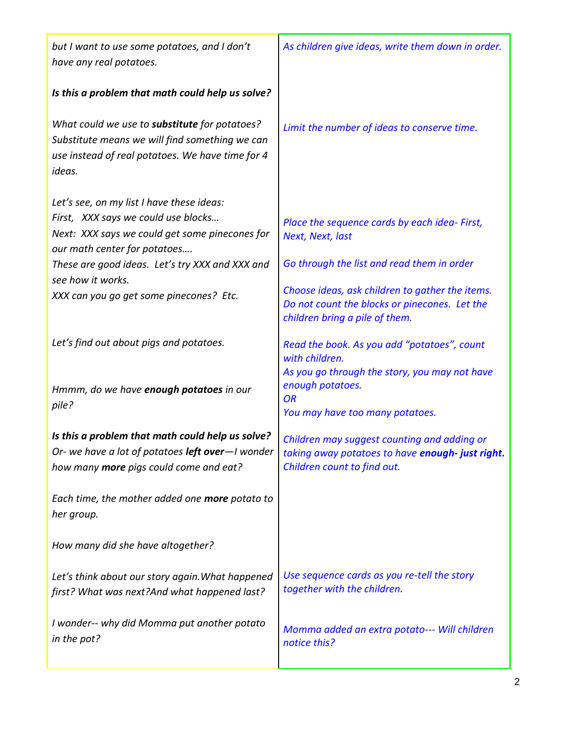| but I want to use some potatoes, and I don't<br>have any real potatoes.                                                                                              | As children give ideas, write them down in order.                                                                                  |
|----------------------------------------------------------------------------------------------------------------------------------------------------------------------|------------------------------------------------------------------------------------------------------------------------------------|
| Is this a problem that math could help us solve?                                                                                                                     |                                                                                                                                    |
| What could we use to <b>substitute</b> for potatoes?<br>Substitute means we will find something we can<br>use instead of real potatoes. We have time for 4<br>ideas. | Limit the number of ideas to conserve time.                                                                                        |
| Let's see, on my list I have these ideas:                                                                                                                            |                                                                                                                                    |
| First, XXX says we could use blocks<br>Next: XXX says we could get some pinecones for<br>our math center for potatoes                                                | Place the sequence cards by each idea- First,<br>Next, Next, last                                                                  |
| These are good ideas. Let's try XXX and XXX and<br>see how it works.                                                                                                 | Go through the list and read them in order                                                                                         |
| XXX can you go get some pinecones? Etc.                                                                                                                              | Choose ideas, ask children to gather the items.<br>Do not count the blocks or pinecones. Let the<br>children bring a pile of them. |
| Let's find out about pigs and potatoes.                                                                                                                              | Read the book. As you add "potatoes", count<br>with children.                                                                      |
| Hmmm, do we have enough potatoes in our<br>pile?                                                                                                                     | As you go through the story, you may not have<br>enough potatoes.<br><b>OR</b><br>You may have too many potatoes.                  |
| Is this a problem that math could help us solve?<br>Or- we have a lot of potatoes left over-I wonder<br>how many more pigs could come and eat?                       | Children may suggest counting and adding or<br>taking away potatoes to have enough-just right.<br>Children count to find out.      |
| Each time, the mother added one more potato to<br>her group.                                                                                                         |                                                                                                                                    |
| How many did she have altogether?                                                                                                                                    |                                                                                                                                    |
| Let's think about our story again. What happened<br>first? What was next?And what happened last?                                                                     | Use sequence cards as you re-tell the story<br>together with the children.                                                         |
| I wonder-- why did Momma put another potato<br>in the pot?                                                                                                           | Momma added an extra potato--- Will children<br>notice this?                                                                       |